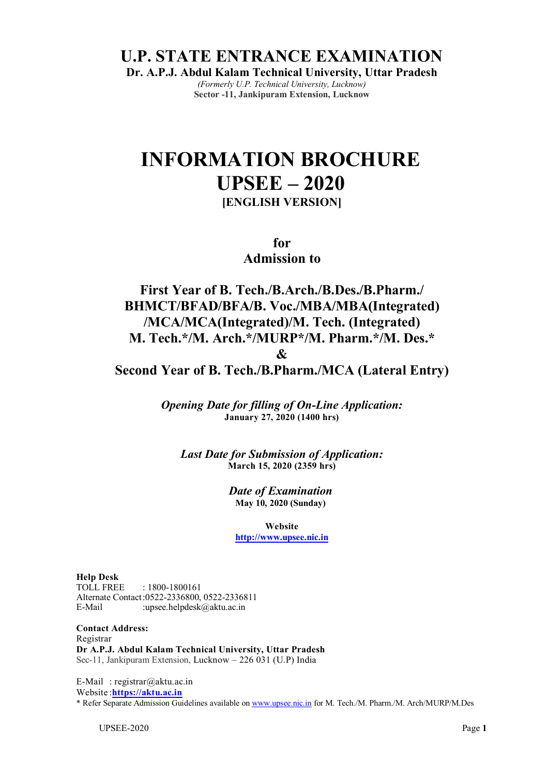**U.P. STATE ENTRANCE EXAMINATION** 

**Dr. A.P.J. Abdul Kalam Technical University, Uttar Pradesh**  *(Formerly U.P. Technical University, Lucknow)* 

**Sector -11, Jankipuram Extension, Lucknow** 

## **INFORMATION BROCHURE UPSEE – 2020 [ENGLISH VERSION]**

**for** 

**Admission to** 

**First Year of B. Tech./B.Arch./B.Des./B.Pharm./ BHMCT/BFAD/BFA/B. Voc./MBA/MBA(Integrated) /MCA/MCA(Integrated)/M. Tech. (Integrated) M. Tech.\*/M. Arch.\*/MURP\*/M. Pharm.\*/M. Des.\* &** 

**Second Year of B. Tech./B.Pharm./MCA (Lateral Entry)** 

*Opening Date for filling of On-Line Application:*  **January 27, 2020 (1400 hrs)**

*Last Date for Submission of Application:*  **March 15, 2020 (2359 hrs)**

> *Date of Examination*  **May 10, 2020 (Sunday)**

**Website http://www.upsee.nic.in**

**Help Desk** TOLL FREE : 1800-1800161 Alternate Contact :0522-2336800, 0522-2336811 E-Mail :upsee.helpdesk@aktu.ac.in

**Contact Address:** Registrar **Dr A.P.J. Abdul Kalam Technical University, Uttar Pradesh** Sec-11, Jankipuram Extension, Lucknow – 226 031 (U.P) India

E-Mail : registrar@aktu.ac.in Website :**https://aktu.ac.in** \* Refer Separate Admission Guidelines available on www.upsee.nic.in for M. Tech./M. Pharm./M. Arch/MURP/M.Des

UPSEE-2020 Page **1**